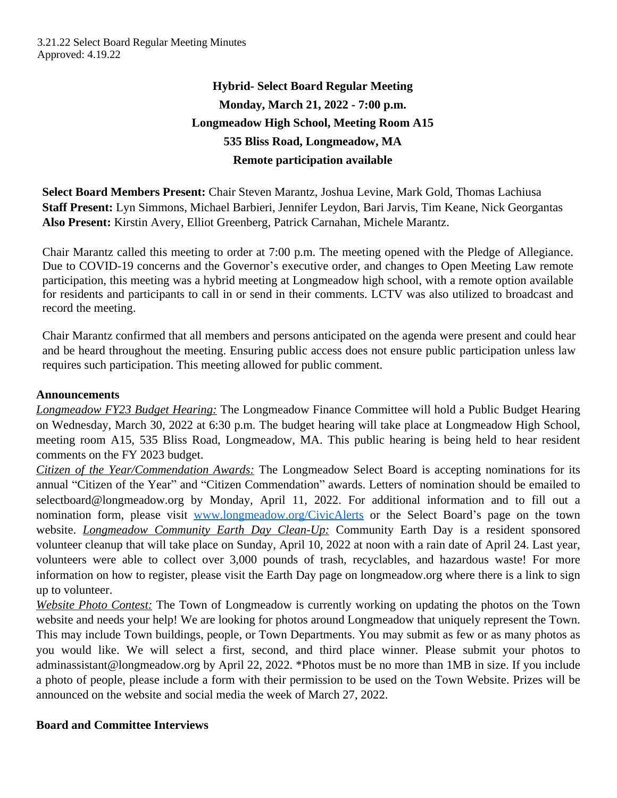# **Hybrid- Select Board Regular Meeting Monday, March 21, 2022 - 7:00 p.m. Longmeadow High School, Meeting Room A15 535 Bliss Road, Longmeadow, MA Remote participation available**

**Select Board Members Present:** Chair Steven Marantz, Joshua Levine, Mark Gold, Thomas Lachiusa **Staff Present:** Lyn Simmons, Michael Barbieri, Jennifer Leydon, Bari Jarvis, Tim Keane, Nick Georgantas **Also Present:** Kirstin Avery, Elliot Greenberg, Patrick Carnahan, Michele Marantz.

Chair Marantz called this meeting to order at 7:00 p.m. The meeting opened with the Pledge of Allegiance. Due to COVID-19 concerns and the Governor's executive order, and changes to Open Meeting Law remote participation, this meeting was a hybrid meeting at Longmeadow high school, with a remote option available for residents and participants to call in or send in their comments. LCTV was also utilized to broadcast and record the meeting.

Chair Marantz confirmed that all members and persons anticipated on the agenda were present and could hear and be heard throughout the meeting. Ensuring public access does not ensure public participation unless law requires such participation. This meeting allowed for public comment.

# **Announcements**

*Longmeadow FY23 Budget Hearing:* The Longmeadow Finance Committee will hold a Public Budget Hearing on Wednesday, March 30, 2022 at 6:30 p.m. The budget hearing will take place at Longmeadow High School, meeting room A15, 535 Bliss Road, Longmeadow, MA. This public hearing is being held to hear resident comments on the FY 2023 budget.

*Citizen of the Year/Commendation Awards:* The Longmeadow Select Board is accepting nominations for its annual "Citizen of the Year" and "Citizen Commendation" awards. Letters of nomination should be emailed to selectboard@longmeadow.org by Monday, April 11, 2022. For additional information and to fill out a nomination form, please visit [www.longmeadow.org/CivicAlerts](http://www.longmeadow.org/CivicAlerts) or the Select Board's page on the town website. *Longmeadow Community Earth Day Clean-Up:* Community Earth Day is a resident sponsored volunteer cleanup that will take place on Sunday, April 10, 2022 at noon with a rain date of April 24. Last year, volunteers were able to collect over 3,000 pounds of trash, recyclables, and hazardous waste! For more information on how to register, please visit the Earth Day page on longmeadow.org where there is a link to sign up to volunteer.

*Website Photo Contest:* The Town of Longmeadow is currently working on updating the photos on the Town website and needs your help! We are looking for photos around Longmeadow that uniquely represent the Town. This may include Town buildings, people, or Town Departments. You may submit as few or as many photos as you would like. We will select a first, second, and third place winner. Please submit your photos to adminassistant@longmeadow.org by April 22, 2022. \*Photos must be no more than 1MB in size. If you include a photo of people, please include a form with their permission to be used on the Town Website. Prizes will be announced on the website and social media the week of March 27, 2022.

## **Board and Committee Interviews**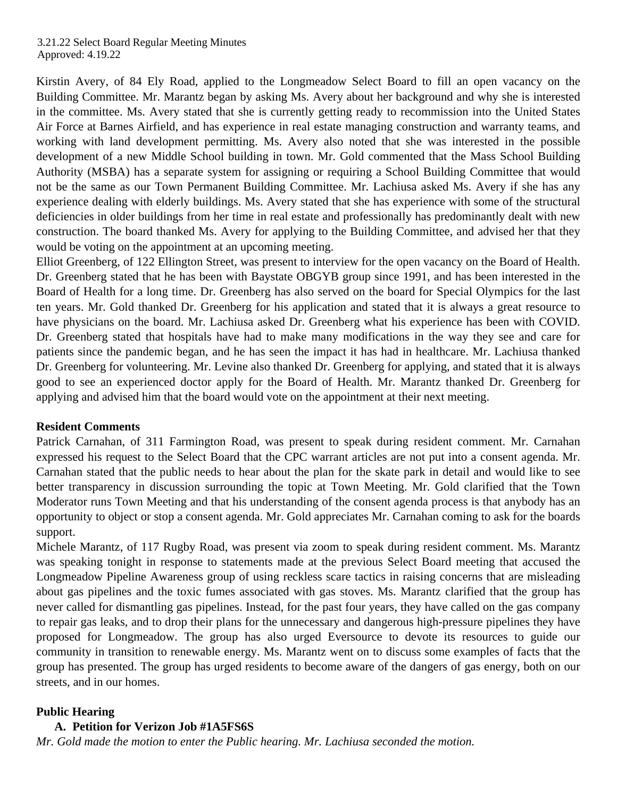Kirstin Avery, of 84 Ely Road, applied to the Longmeadow Select Board to fill an open vacancy on the Building Committee. Mr. Marantz began by asking Ms. Avery about her background and why she is interested in the committee. Ms. Avery stated that she is currently getting ready to recommission into the United States Air Force at Barnes Airfield, and has experience in real estate managing construction and warranty teams, and working with land development permitting. Ms. Avery also noted that she was interested in the possible development of a new Middle School building in town. Mr. Gold commented that the Mass School Building Authority (MSBA) has a separate system for assigning or requiring a School Building Committee that would not be the same as our Town Permanent Building Committee. Mr. Lachiusa asked Ms. Avery if she has any experience dealing with elderly buildings. Ms. Avery stated that she has experience with some of the structural deficiencies in older buildings from her time in real estate and professionally has predominantly dealt with new construction. The board thanked Ms. Avery for applying to the Building Committee, and advised her that they would be voting on the appointment at an upcoming meeting.

Elliot Greenberg, of 122 Ellington Street, was present to interview for the open vacancy on the Board of Health. Dr. Greenberg stated that he has been with Baystate OBGYB group since 1991, and has been interested in the Board of Health for a long time. Dr. Greenberg has also served on the board for Special Olympics for the last ten years. Mr. Gold thanked Dr. Greenberg for his application and stated that it is always a great resource to have physicians on the board. Mr. Lachiusa asked Dr. Greenberg what his experience has been with COVID. Dr. Greenberg stated that hospitals have had to make many modifications in the way they see and care for patients since the pandemic began, and he has seen the impact it has had in healthcare. Mr. Lachiusa thanked Dr. Greenberg for volunteering. Mr. Levine also thanked Dr. Greenberg for applying, and stated that it is always good to see an experienced doctor apply for the Board of Health. Mr. Marantz thanked Dr. Greenberg for applying and advised him that the board would vote on the appointment at their next meeting.

#### **Resident Comments**

Patrick Carnahan, of 311 Farmington Road, was present to speak during resident comment. Mr. Carnahan expressed his request to the Select Board that the CPC warrant articles are not put into a consent agenda. Mr. Carnahan stated that the public needs to hear about the plan for the skate park in detail and would like to see better transparency in discussion surrounding the topic at Town Meeting. Mr. Gold clarified that the Town Moderator runs Town Meeting and that his understanding of the consent agenda process is that anybody has an opportunity to object or stop a consent agenda. Mr. Gold appreciates Mr. Carnahan coming to ask for the boards support.

Michele Marantz, of 117 Rugby Road, was present via zoom to speak during resident comment. Ms. Marantz was speaking tonight in response to statements made at the previous Select Board meeting that accused the Longmeadow Pipeline Awareness group of using reckless scare tactics in raising concerns that are misleading about gas pipelines and the toxic fumes associated with gas stoves. Ms. Marantz clarified that the group has never called for dismantling gas pipelines. Instead, for the past four years, they have called on the gas company to repair gas leaks, and to drop their plans for the unnecessary and dangerous high-pressure pipelines they have proposed for Longmeadow. The group has also urged Eversource to devote its resources to guide our community in transition to renewable energy. Ms. Marantz went on to discuss some examples of facts that the group has presented. The group has urged residents to become aware of the dangers of gas energy, both on our streets, and in our homes.

#### **Public Hearing**

#### **A. Petition for Verizon Job #1A5FS6S**

*Mr. Gold made the motion to enter the Public hearing. Mr. Lachiusa seconded the motion.*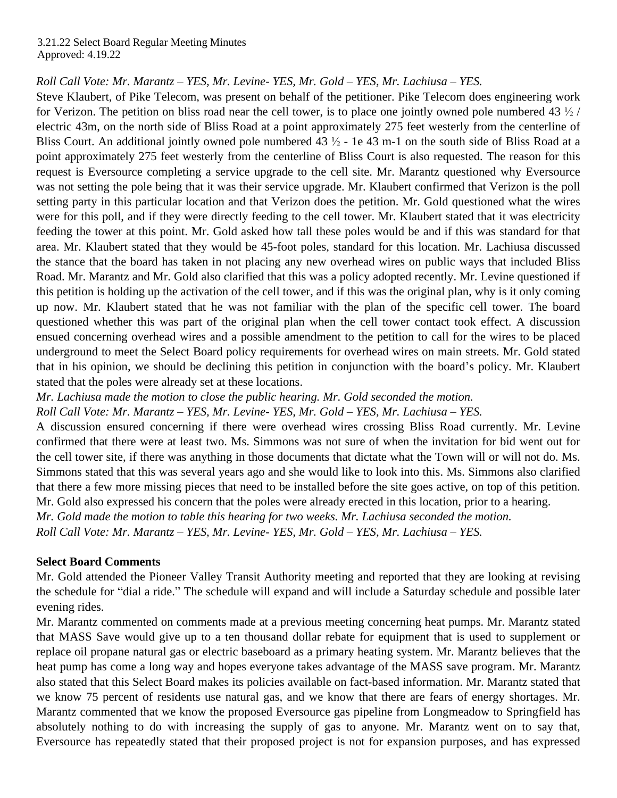*Roll Call Vote: Mr. Marantz – YES, Mr. Levine- YES, Mr. Gold – YES, Mr. Lachiusa – YES.*

Steve Klaubert, of Pike Telecom, was present on behalf of the petitioner. Pike Telecom does engineering work for Verizon. The petition on bliss road near the cell tower, is to place one jointly owned pole numbered 43  $\frac{1}{2}$  / electric 43m, on the north side of Bliss Road at a point approximately 275 feet westerly from the centerline of Bliss Court. An additional jointly owned pole numbered  $43\frac{1}{2}$  - 1e 43 m-1 on the south side of Bliss Road at a point approximately 275 feet westerly from the centerline of Bliss Court is also requested. The reason for this request is Eversource completing a service upgrade to the cell site. Mr. Marantz questioned why Eversource was not setting the pole being that it was their service upgrade. Mr. Klaubert confirmed that Verizon is the poll setting party in this particular location and that Verizon does the petition. Mr. Gold questioned what the wires were for this poll, and if they were directly feeding to the cell tower. Mr. Klaubert stated that it was electricity feeding the tower at this point. Mr. Gold asked how tall these poles would be and if this was standard for that area. Mr. Klaubert stated that they would be 45-foot poles, standard for this location. Mr. Lachiusa discussed the stance that the board has taken in not placing any new overhead wires on public ways that included Bliss Road. Mr. Marantz and Mr. Gold also clarified that this was a policy adopted recently. Mr. Levine questioned if this petition is holding up the activation of the cell tower, and if this was the original plan, why is it only coming up now. Mr. Klaubert stated that he was not familiar with the plan of the specific cell tower. The board questioned whether this was part of the original plan when the cell tower contact took effect. A discussion ensued concerning overhead wires and a possible amendment to the petition to call for the wires to be placed underground to meet the Select Board policy requirements for overhead wires on main streets. Mr. Gold stated that in his opinion, we should be declining this petition in conjunction with the board's policy. Mr. Klaubert stated that the poles were already set at these locations.

*Mr. Lachiusa made the motion to close the public hearing. Mr. Gold seconded the motion.*

*Roll Call Vote: Mr. Marantz – YES, Mr. Levine- YES, Mr. Gold – YES, Mr. Lachiusa – YES.*

A discussion ensured concerning if there were overhead wires crossing Bliss Road currently. Mr. Levine confirmed that there were at least two. Ms. Simmons was not sure of when the invitation for bid went out for the cell tower site, if there was anything in those documents that dictate what the Town will or will not do. Ms. Simmons stated that this was several years ago and she would like to look into this. Ms. Simmons also clarified that there a few more missing pieces that need to be installed before the site goes active, on top of this petition. Mr. Gold also expressed his concern that the poles were already erected in this location, prior to a hearing. *Mr. Gold made the motion to table this hearing for two weeks. Mr. Lachiusa seconded the motion. Roll Call Vote: Mr. Marantz – YES, Mr. Levine- YES, Mr. Gold – YES, Mr. Lachiusa – YES.*

## **Select Board Comments**

Mr. Gold attended the Pioneer Valley Transit Authority meeting and reported that they are looking at revising the schedule for "dial a ride." The schedule will expand and will include a Saturday schedule and possible later evening rides.

Mr. Marantz commented on comments made at a previous meeting concerning heat pumps. Mr. Marantz stated that MASS Save would give up to a ten thousand dollar rebate for equipment that is used to supplement or replace oil propane natural gas or electric baseboard as a primary heating system. Mr. Marantz believes that the heat pump has come a long way and hopes everyone takes advantage of the MASS save program. Mr. Marantz also stated that this Select Board makes its policies available on fact-based information. Mr. Marantz stated that we know 75 percent of residents use natural gas, and we know that there are fears of energy shortages. Mr. Marantz commented that we know the proposed Eversource gas pipeline from Longmeadow to Springfield has absolutely nothing to do with increasing the supply of gas to anyone. Mr. Marantz went on to say that, Eversource has repeatedly stated that their proposed project is not for expansion purposes, and has expressed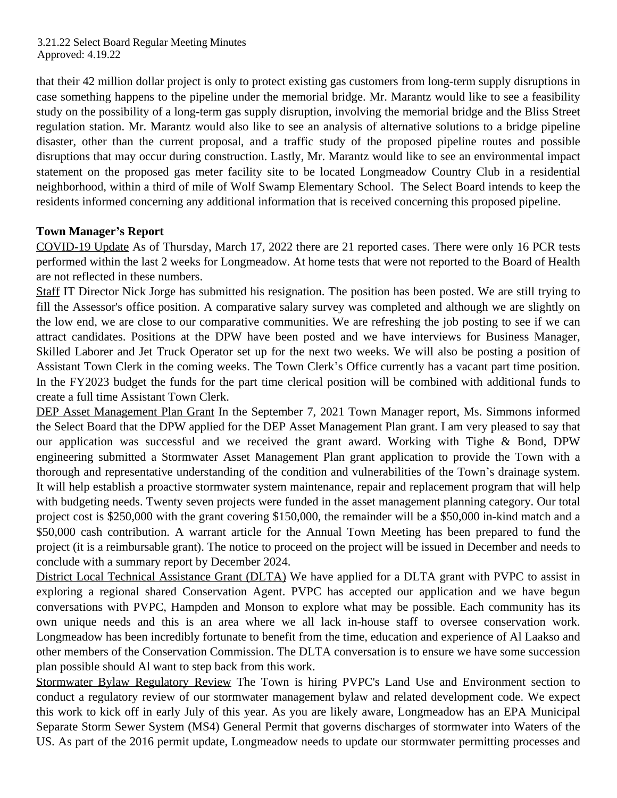that their 42 million dollar project is only to protect existing gas customers from long-term supply disruptions in case something happens to the pipeline under the memorial bridge. Mr. Marantz would like to see a feasibility study on the possibility of a long-term gas supply disruption, involving the memorial bridge and the Bliss Street regulation station. Mr. Marantz would also like to see an analysis of alternative solutions to a bridge pipeline disaster, other than the current proposal, and a traffic study of the proposed pipeline routes and possible disruptions that may occur during construction. Lastly, Mr. Marantz would like to see an environmental impact statement on the proposed gas meter facility site to be located Longmeadow Country Club in a residential neighborhood, within a third of mile of Wolf Swamp Elementary School. The Select Board intends to keep the residents informed concerning any additional information that is received concerning this proposed pipeline.

## **Town Manager's Report**

COVID-19 Update As of Thursday, March 17, 2022 there are 21 reported cases. There were only 16 PCR tests performed within the last 2 weeks for Longmeadow. At home tests that were not reported to the Board of Health are not reflected in these numbers.

Staff IT Director Nick Jorge has submitted his resignation. The position has been posted. We are still trying to fill the Assessor's office position. A comparative salary survey was completed and although we are slightly on the low end, we are close to our comparative communities. We are refreshing the job posting to see if we can attract candidates. Positions at the DPW have been posted and we have interviews for Business Manager, Skilled Laborer and Jet Truck Operator set up for the next two weeks. We will also be posting a position of Assistant Town Clerk in the coming weeks. The Town Clerk's Office currently has a vacant part time position. In the FY2023 budget the funds for the part time clerical position will be combined with additional funds to create a full time Assistant Town Clerk.

DEP Asset Management Plan Grant In the September 7, 2021 Town Manager report, Ms. Simmons informed the Select Board that the DPW applied for the DEP Asset Management Plan grant. I am very pleased to say that our application was successful and we received the grant award. Working with Tighe & Bond, DPW engineering submitted a Stormwater Asset Management Plan grant application to provide the Town with a thorough and representative understanding of the condition and vulnerabilities of the Town's drainage system. It will help establish a proactive stormwater system maintenance, repair and replacement program that will help with budgeting needs. Twenty seven projects were funded in the asset management planning category. Our total project cost is \$250,000 with the grant covering \$150,000, the remainder will be a \$50,000 in-kind match and a \$50,000 cash contribution. A warrant article for the Annual Town Meeting has been prepared to fund the project (it is a reimbursable grant). The notice to proceed on the project will be issued in December and needs to conclude with a summary report by December 2024.

District Local Technical Assistance Grant (DLTA) We have applied for a DLTA grant with PVPC to assist in exploring a regional shared Conservation Agent. PVPC has accepted our application and we have begun conversations with PVPC, Hampden and Monson to explore what may be possible. Each community has its own unique needs and this is an area where we all lack in-house staff to oversee conservation work. Longmeadow has been incredibly fortunate to benefit from the time, education and experience of Al Laakso and other members of the Conservation Commission. The DLTA conversation is to ensure we have some succession plan possible should Al want to step back from this work.

Stormwater Bylaw Regulatory Review The Town is hiring PVPC's Land Use and Environment section to conduct a regulatory review of our stormwater management bylaw and related development code. We expect this work to kick off in early July of this year. As you are likely aware, Longmeadow has an EPA Municipal Separate Storm Sewer System (MS4) General Permit that governs discharges of stormwater into Waters of the US. As part of the 2016 permit update, Longmeadow needs to update our stormwater permitting processes and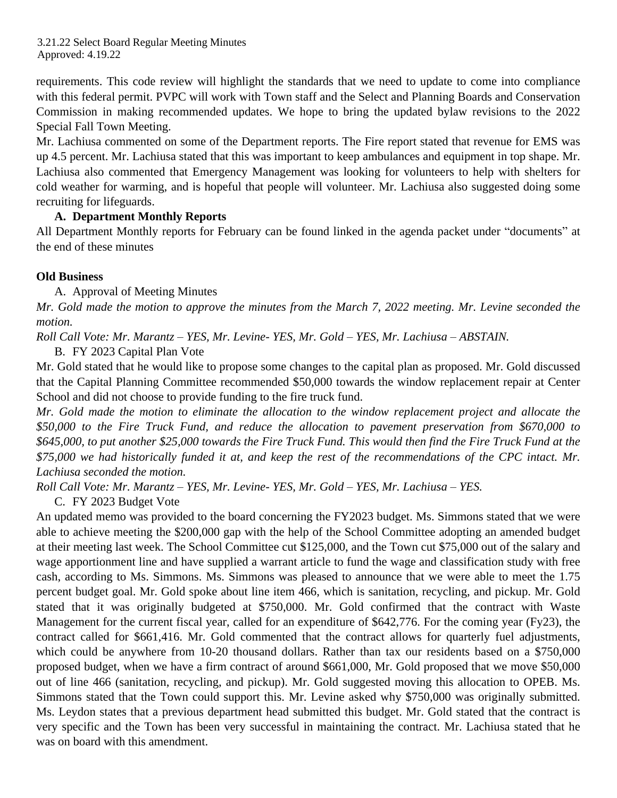requirements. This code review will highlight the standards that we need to update to come into compliance with this federal permit. PVPC will work with Town staff and the Select and Planning Boards and Conservation Commission in making recommended updates. We hope to bring the updated bylaw revisions to the 2022 Special Fall Town Meeting.

Mr. Lachiusa commented on some of the Department reports. The Fire report stated that revenue for EMS was up 4.5 percent. Mr. Lachiusa stated that this was important to keep ambulances and equipment in top shape. Mr. Lachiusa also commented that Emergency Management was looking for volunteers to help with shelters for cold weather for warming, and is hopeful that people will volunteer. Mr. Lachiusa also suggested doing some recruiting for lifeguards.

## **A. Department Monthly Reports**

All Department Monthly reports for February can be found linked in the agenda packet under "documents" at the end of these minutes

#### **Old Business**

A. Approval of Meeting Minutes

Mr. Gold made the motion to approve the minutes from the March 7, 2022 meeting. Mr. Levine seconded the *motion.* 

*Roll Call Vote: Mr. Marantz – YES, Mr. Levine- YES, Mr. Gold – YES, Mr. Lachiusa – ABSTAIN.*

B. FY 2023 Capital Plan Vote

Mr. Gold stated that he would like to propose some changes to the capital plan as proposed. Mr. Gold discussed that the Capital Planning Committee recommended \$50,000 towards the window replacement repair at Center School and did not choose to provide funding to the fire truck fund.

*Mr. Gold made the motion to eliminate the allocation to the window replacement project and allocate the \$50,000 to the Fire Truck Fund, and reduce the allocation to pavement preservation from \$670,000 to* \$645,000, to put another \$25,000 towards the Fire Truck Fund. This would then find the Fire Truck Fund at the  $$75,000$  we had historically funded it at, and keep the rest of the recommendations of the CPC intact. Mr. *Lachiusa seconded the motion.*

*Roll Call Vote: Mr. Marantz – YES, Mr. Levine- YES, Mr. Gold – YES, Mr. Lachiusa – YES.* 

C. FY 2023 Budget Vote

An updated memo was provided to the board concerning the FY2023 budget. Ms. Simmons stated that we were able to achieve meeting the \$200,000 gap with the help of the School Committee adopting an amended budget at their meeting last week. The School Committee cut \$125,000, and the Town cut \$75,000 out of the salary and wage apportionment line and have supplied a warrant article to fund the wage and classification study with free cash, according to Ms. Simmons. Ms. Simmons was pleased to announce that we were able to meet the 1.75 percent budget goal. Mr. Gold spoke about line item 466, which is sanitation, recycling, and pickup. Mr. Gold stated that it was originally budgeted at \$750,000. Mr. Gold confirmed that the contract with Waste Management for the current fiscal year, called for an expenditure of \$642,776. For the coming year (Fy23), the contract called for \$661,416. Mr. Gold commented that the contract allows for quarterly fuel adjustments, which could be anywhere from 10-20 thousand dollars. Rather than tax our residents based on a \$750,000 proposed budget, when we have a firm contract of around \$661,000, Mr. Gold proposed that we move \$50,000 out of line 466 (sanitation, recycling, and pickup). Mr. Gold suggested moving this allocation to OPEB. Ms. Simmons stated that the Town could support this. Mr. Levine asked why \$750,000 was originally submitted. Ms. Leydon states that a previous department head submitted this budget. Mr. Gold stated that the contract is very specific and the Town has been very successful in maintaining the contract. Mr. Lachiusa stated that he was on board with this amendment.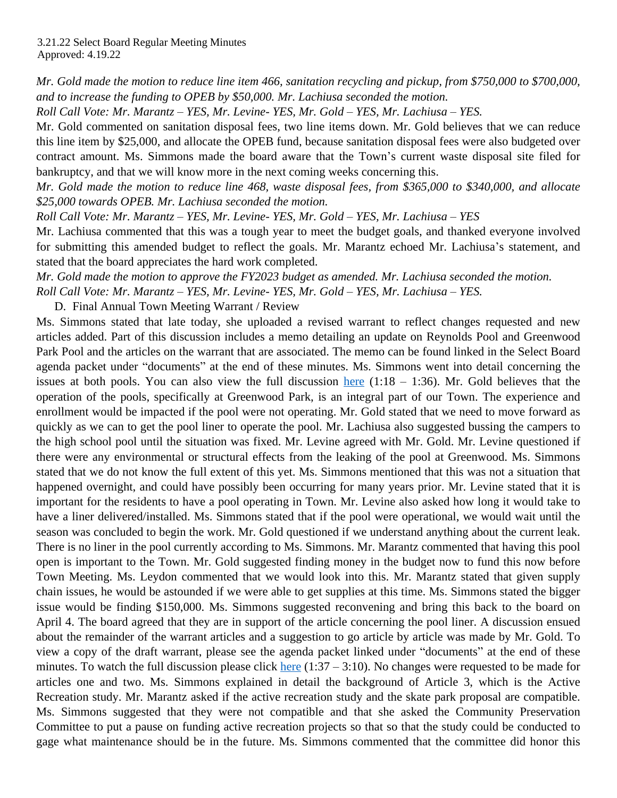Mr. Gold made the motion to reduce line item 466, sanitation recycling and pickup, from \$750,000 to \$700,000, *and to increase the funding to OPEB by \$50,000. Mr. Lachiusa seconded the motion.*

*Roll Call Vote: Mr. Marantz – YES, Mr. Levine- YES, Mr. Gold – YES, Mr. Lachiusa – YES.*

Mr. Gold commented on sanitation disposal fees, two line items down. Mr. Gold believes that we can reduce this line item by \$25,000, and allocate the OPEB fund, because sanitation disposal fees were also budgeted over contract amount. Ms. Simmons made the board aware that the Town's current waste disposal site filed for bankruptcy, and that we will know more in the next coming weeks concerning this.

Mr. Gold made the motion to reduce line 468, waste disposal fees, from \$365,000 to \$340,000, and allocate *\$25,000 towards OPEB. Mr. Lachiusa seconded the motion.*

*Roll Call Vote: Mr. Marantz – YES, Mr. Levine- YES, Mr. Gold – YES, Mr. Lachiusa – YES*

Mr. Lachiusa commented that this was a tough year to meet the budget goals, and thanked everyone involved for submitting this amended budget to reflect the goals. Mr. Marantz echoed Mr. Lachiusa's statement, and stated that the board appreciates the hard work completed.

*Mr. Gold made the motion to approve the FY2023 budget as amended. Mr. Lachiusa seconded the motion. Roll Call Vote: Mr. Marantz – YES, Mr. Levine- YES, Mr. Gold – YES, Mr. Lachiusa – YES.* 

D. Final Annual Town Meeting Warrant / Review

Ms. Simmons stated that late today, she uploaded a revised warrant to reflect changes requested and new articles added. Part of this discussion includes a memo detailing an update on Reynolds Pool and Greenwood Park Pool and the articles on the warrant that are associated. The memo can be found linked in the Select Board agenda packet under "documents" at the end of these minutes. Ms. Simmons went into detail concerning the issues at both pools. You can also view the full discussion [here](https://www.youtube.com/watch?v=CHoILDD4q90&t=793s)  $(1:18 - 1:36)$ . Mr. Gold believes that the operation of the pools, specifically at Greenwood Park, is an integral part of our Town. The experience and enrollment would be impacted if the pool were not operating. Mr. Gold stated that we need to move forward as quickly as we can to get the pool liner to operate the pool. Mr. Lachiusa also suggested bussing the campers to the high school pool until the situation was fixed. Mr. Levine agreed with Mr. Gold. Mr. Levine questioned if there were any environmental or structural effects from the leaking of the pool at Greenwood. Ms. Simmons stated that we do not know the full extent of this yet. Ms. Simmons mentioned that this was not a situation that happened overnight, and could have possibly been occurring for many years prior. Mr. Levine stated that it is important for the residents to have a pool operating in Town. Mr. Levine also asked how long it would take to have a liner delivered/installed. Ms. Simmons stated that if the pool were operational, we would wait until the season was concluded to begin the work. Mr. Gold questioned if we understand anything about the current leak. There is no liner in the pool currently according to Ms. Simmons. Mr. Marantz commented that having this pool open is important to the Town. Mr. Gold suggested finding money in the budget now to fund this now before Town Meeting. Ms. Leydon commented that we would look into this. Mr. Marantz stated that given supply chain issues, he would be astounded if we were able to get supplies at this time. Ms. Simmons stated the bigger issue would be finding \$150,000. Ms. Simmons suggested reconvening and bring this back to the board on April 4. The board agreed that they are in support of the article concerning the pool liner. A discussion ensued about the remainder of the warrant articles and a suggestion to go article by article was made by Mr. Gold. To view a copy of the draft warrant, please see the agenda packet linked under "documents" at the end of these minutes. To watch the full discussion please click [here](https://www.youtube.com/watch?v=CHoILDD4q90&t=793s)  $(1:37 - 3:10)$ . No changes were requested to be made for articles one and two. Ms. Simmons explained in detail the background of Article 3, which is the Active Recreation study. Mr. Marantz asked if the active recreation study and the skate park proposal are compatible. Ms. Simmons suggested that they were not compatible and that she asked the Community Preservation Committee to put a pause on funding active recreation projects so that so that the study could be conducted to gage what maintenance should be in the future. Ms. Simmons commented that the committee did honor this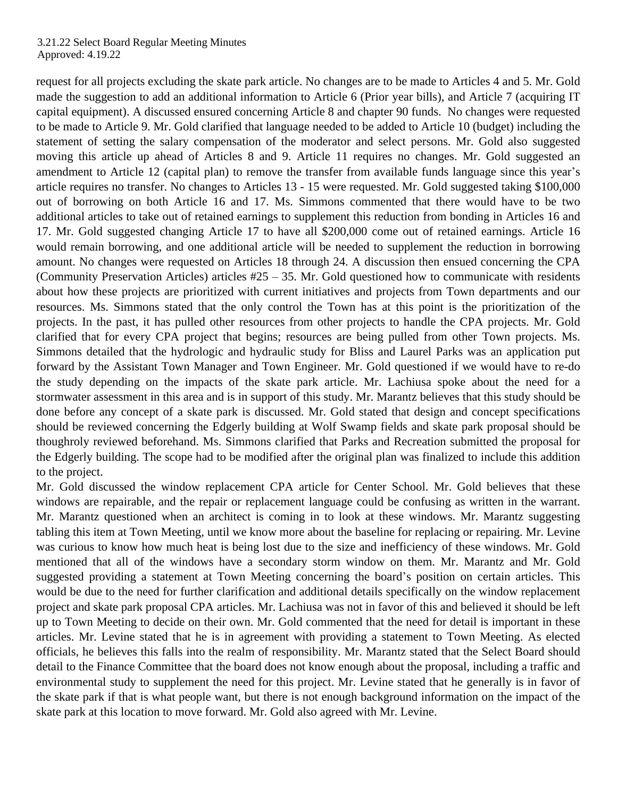request for all projects excluding the skate park article. No changes are to be made to Articles 4 and 5. Mr. Gold made the suggestion to add an additional information to Article 6 (Prior year bills), and Article 7 (acquiring IT capital equipment). A discussed ensured concerning Article 8 and chapter 90 funds. No changes were requested to be made to Article 9. Mr. Gold clarified that language needed to be added to Article 10 (budget) including the statement of setting the salary compensation of the moderator and select persons. Mr. Gold also suggested moving this article up ahead of Articles 8 and 9. Article 11 requires no changes. Mr. Gold suggested an amendment to Article 12 (capital plan) to remove the transfer from available funds language since this year's article requires no transfer. No changes to Articles 13 - 15 were requested. Mr. Gold suggested taking \$100,000 out of borrowing on both Article 16 and 17. Ms. Simmons commented that there would have to be two additional articles to take out of retained earnings to supplement this reduction from bonding in Articles 16 and 17. Mr. Gold suggested changing Article 17 to have all \$200,000 come out of retained earnings. Article 16 would remain borrowing, and one additional article will be needed to supplement the reduction in borrowing amount. No changes were requested on Articles 18 through 24. A discussion then ensued concerning the CPA (Community Preservation Articles) articles #25 – 35. Mr. Gold questioned how to communicate with residents about how these projects are prioritized with current initiatives and projects from Town departments and our resources. Ms. Simmons stated that the only control the Town has at this point is the prioritization of the projects. In the past, it has pulled other resources from other projects to handle the CPA projects. Mr. Gold clarified that for every CPA project that begins; resources are being pulled from other Town projects. Ms. Simmons detailed that the hydrologic and hydraulic study for Bliss and Laurel Parks was an application put forward by the Assistant Town Manager and Town Engineer. Mr. Gold questioned if we would have to re-do the study depending on the impacts of the skate park article. Mr. Lachiusa spoke about the need for a stormwater assessment in this area and is in support of this study. Mr. Marantz believes that this study should be done before any concept of a skate park is discussed. Mr. Gold stated that design and concept specifications should be reviewed concerning the Edgerly building at Wolf Swamp fields and skate park proposal should be thoughroly reviewed beforehand. Ms. Simmons clarified that Parks and Recreation submitted the proposal for the Edgerly building. The scope had to be modified after the original plan was finalized to include this addition to the project.

Mr. Gold discussed the window replacement CPA article for Center School. Mr. Gold believes that these windows are repairable, and the repair or replacement language could be confusing as written in the warrant. Mr. Marantz questioned when an architect is coming in to look at these windows. Mr. Marantz suggesting tabling this item at Town Meeting, until we know more about the baseline for replacing or repairing. Mr. Levine was curious to know how much heat is being lost due to the size and inefficiency of these windows. Mr. Gold mentioned that all of the windows have a secondary storm window on them. Mr. Marantz and Mr. Gold suggested providing a statement at Town Meeting concerning the board's position on certain articles. This would be due to the need for further clarification and additional details specifically on the window replacement project and skate park proposal CPA articles. Mr. Lachiusa was not in favor of this and believed it should be left up to Town Meeting to decide on their own. Mr. Gold commented that the need for detail is important in these articles. Mr. Levine stated that he is in agreement with providing a statement to Town Meeting. As elected officials, he believes this falls into the realm of responsibility. Mr. Marantz stated that the Select Board should detail to the Finance Committee that the board does not know enough about the proposal, including a traffic and environmental study to supplement the need for this project. Mr. Levine stated that he generally is in favor of the skate park if that is what people want, but there is not enough background information on the impact of the skate park at this location to move forward. Mr. Gold also agreed with Mr. Levine.